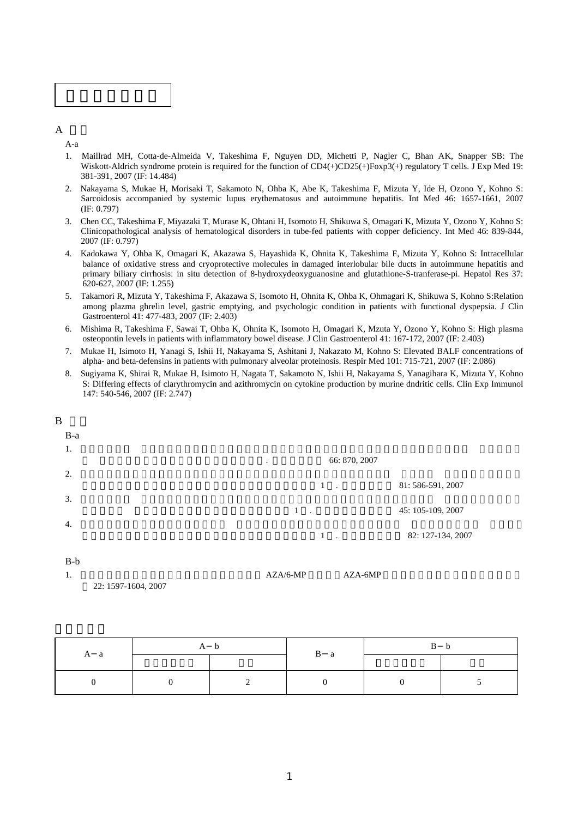

 $\mathbf{A}$ 

A-a

- 1. Maillrad MH, Cotta-de-Almeida V, Takeshima F, Nguyen DD, Michetti P, Nagler C, Bhan AK, Snapper SB: The Wiskott-Aldrich syndrome protein is required for the function of CD4(+)CD25(+)Foxp3(+) regulatory T cells. J Exp Med 19: 381-391, 2007 (IF: 14.484)
- 2. Nakayama S, Mukae H, Morisaki T, Sakamoto N, Ohba K, Abe K, Takeshima F, Mizuta Y, Ide H, Ozono Y, Kohno S: Sarcoidosis accompanied by systemic lupus erythematosus and autoimmune hepatitis. Int Med 46: 1657-1661, 2007 (IF: 0.797)
- 3. Chen CC, Takeshima F, Miyazaki T, Murase K, Ohtani H, Isomoto H, Shikuwa S, Omagari K, Mizuta Y, Ozono Y, Kohno S: Clinicopathological analysis of hematological disorders in tube-fed patients with copper deficiency. Int Med 46: 839-844, 2007 (IF: 0.797)
- 4. Kadokawa Y, Ohba K, Omagari K, Akazawa S, Hayashida K, Ohnita K, Takeshima F, Mizuta Y, Kohno S: Intracellular balance of oxidative stress and cryoprotective molecules in damaged interlobular bile ducts in autoimmune hepatitis and primary biliary cirrhosis: in situ detection of 8-hydroxydeoxyguanosine and glutathione-S-tranferase-pi. Hepatol Res 37: 620-627, 2007 (IF: 1.255)
- 5. Takamori R, Mizuta Y, Takeshima F, Akazawa S, Isomoto H, Ohnita K, Ohba K, Ohmagari K, Shikuwa S, Kohno S:Relation among plazma ghrelin level, gastric emptying, and psychologic condition in patients with functional dyspepsia. J Clin Gastroenterol 41: 477-483, 2007 (IF: 2.403)
- 6. Mishima R, Takeshima F, Sawai T, Ohba K, Ohnita K, Isomoto H, Omagari K, Mzuta Y, Ozono Y, Kohno S: High plasma osteopontin levels in patients with inflammatory bowel disease. J Clin Gastroenterol 41: 167-172, 2007 (IF: 2.403)
- 7. Mukae H, Isimoto H, Yanagi S, Ishii H, Nakayama S, Ashitani J, Nakazato M, Kohno S: Elevated BALF concentrations of alpha- and beta-defensins in patients with pulmonary alveolar proteinosis. Respir Med 101: 715-721, 2007 (IF: 2.086)
- 8. Sugiyama K, Shirai R, Mukae H, Isimoto H, Nagata T, Sakamoto N, Ishii H, Nakayama S, Yanagihara K, Mizuta Y, Kohno S: Differing effects of clarythromycin and azithromycin on cytokine production by murine dndritic cells. Clin Exp Immunol 147: 540-546, 2007 (IF: 2.747)

| B     |                          |                   |
|-------|--------------------------|-------------------|
| $B-a$ |                          |                   |
| 1.    | 66: 870, 2007<br>$\cdot$ |                   |
| 2.    | $1$ .                    | 81: 586-591, 2007 |
| 3.    | $\mathbf{1}$<br>$\sim$   | 45: 105-109, 2007 |
| 4.    | $1$ .                    | 82: 127-134, 2007 |
| $R-h$ |                          |                   |

B-b

1. https://www.doi.org/inducted.com/community/inducted.com/community/inducted.com/

22: 1597-1604, 2007

|     |          | B a |  |  |
|-----|----------|-----|--|--|
| A a |          |     |  |  |
|     | $\gamma$ |     |  |  |